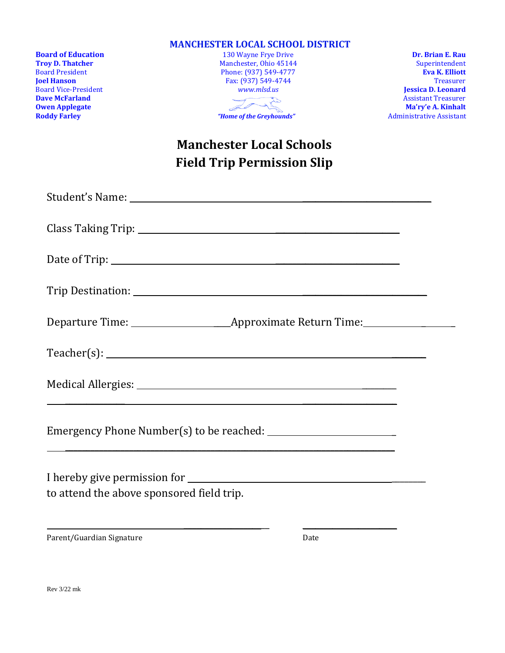|                                                   | <b>MANCHESTER LOCAL SCHOOL DISTRICT</b>              |                                         |
|---------------------------------------------------|------------------------------------------------------|-----------------------------------------|
| <b>Board of Education</b>                         | 130 Wayne Frye Drive                                 | Dr. Brian E. Rau                        |
| <b>Troy D. Thatcher</b><br><b>Board President</b> | Manchester, Ohio 45144                               | Superintendent<br><b>Eva K. Elliott</b> |
| <b>Joel Hanson</b>                                | Phone: (937) 549-4777<br>Fax: (937) 549-4744         | <b>Treasurer</b>                        |
| <b>Board Vice-President</b>                       | www.mlsd.us                                          | <b>Jessica D. Leonard</b>               |
| <b>Dave McFarland</b>                             |                                                      | <b>Assistant Treasurer</b>              |
| <b>Owen Applegate</b>                             | $\frac{1}{\sqrt{2\pi}}\sqrt{\frac{1}{2}}\frac{1}{2}$ | Ma'ry'e A. Kinhalt                      |
| <b>Roddy Farley</b>                               | "Home of the Greyhounds"                             | <b>Administrative Assistant</b>         |
|                                                   | <b>Manchester Local Schools</b>                      |                                         |
|                                                   | <b>Field Trip Permission Slip</b>                    |                                         |
|                                                   |                                                      |                                         |
|                                                   |                                                      |                                         |
|                                                   |                                                      |                                         |
|                                                   |                                                      |                                         |
|                                                   |                                                      |                                         |
|                                                   |                                                      |                                         |
|                                                   |                                                      |                                         |
|                                                   |                                                      |                                         |
|                                                   |                                                      |                                         |
|                                                   | Teacher(s):                                          |                                         |
|                                                   |                                                      |                                         |
|                                                   |                                                      |                                         |
|                                                   |                                                      |                                         |
|                                                   |                                                      |                                         |
|                                                   |                                                      |                                         |
|                                                   |                                                      |                                         |
| to attend the above sponsored field trip.         |                                                      |                                         |
|                                                   |                                                      |                                         |
|                                                   |                                                      |                                         |
|                                                   |                                                      |                                         |

Parent/Guardian Signature Date